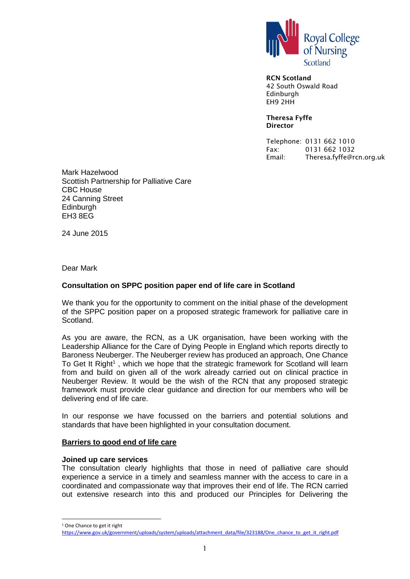

**RCN Scotland** 42 South Oswald Road Edinburgh EH9 2HH

**Theresa Fyffe Director**

Telephone: 0131 662 1010 Fax: 0131 662 1032 Email: Theresa.fyffe@rcn.org.uk

Mark Hazelwood Scottish Partnership for Palliative Care CBC House 24 Canning Street **Edinburgh** EH3 8EG

24 June 2015

Dear Mark

## **Consultation on SPPC position paper end of life care in Scotland**

We thank you for the opportunity to comment on the initial phase of the development of the SPPC position paper on a proposed strategic framework for palliative care in Scotland.

As you are aware, the RCN, as a UK organisation, have been working with the Leadership Alliance for the Care of Dying People in England which reports directly to Baroness Neuberger. The Neuberger review has produced an approach, One Chance To Get It Right<sup>1</sup>, which we hope that the strategic framework for Scotland will learn from and build on given all of the work already carried out on clinical practice in Neuberger Review. It would be the wish of the RCN that any proposed strategic framework must provide clear guidance and direction for our members who will be delivering end of life care.

In our response we have focussed on the barriers and potential solutions and standards that have been highlighted in your consultation document.

#### **Barriers to good end of life care**

#### **Joined up care services**

The consultation clearly highlights that those in need of palliative care should experience a service in a timely and seamless manner with the access to care in a coordinated and compassionate way that improves their end of life. The RCN carried out extensive research into this and produced our Principles for Delivering the

<sup>1</sup> One Chance to get it right

l

[https://www.gov.uk/government/uploads/system/uploads/attachment\\_data/file/323188/One\\_chance\\_to\\_get\\_it\\_right.pdf](https://www.gov.uk/government/uploads/system/uploads/attachment_data/file/323188/One_chance_to_get_it_right.pdf)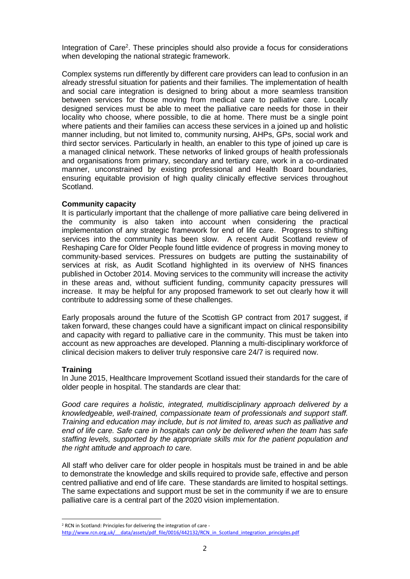Integration of Care<sup>2</sup>. These principles should also provide a focus for considerations when developing the national strategic framework.

Complex systems run differently by different care providers can lead to confusion in an already stressful situation for patients and their families. The implementation of health and social care integration is designed to bring about a more seamless transition between services for those moving from medical care to palliative care. Locally designed services must be able to meet the palliative care needs for those in their locality who choose, where possible, to die at home. There must be a single point where patients and their families can access these services in a joined up and holistic manner including, but not limited to, community nursing, AHPs, GPs, social work and third sector services. Particularly in health, an enabler to this type of joined up care is a managed clinical network. These networks of linked groups of health professionals and organisations from primary, secondary and tertiary care, work in a co-ordinated manner, unconstrained by existing professional and Health Board boundaries, ensuring equitable provision of high quality clinically effective services throughout Scotland.

## **Community capacity**

It is particularly important that the challenge of more palliative care being delivered in the community is also taken into account when considering the practical implementation of any strategic framework for end of life care. Progress to shifting services into the community has been slow. A recent Audit Scotland review of Reshaping Care for Older People found little evidence of progress in moving money to community-based services. Pressures on budgets are putting the sustainability of services at risk, as Audit Scotland highlighted in its overview of NHS finances published in October 2014. Moving services to the community will increase the activity in these areas and, without sufficient funding, community capacity pressures will increase. It may be helpful for any proposed framework to set out clearly how it will contribute to addressing some of these challenges.

Early proposals around the future of the Scottish GP contract from 2017 suggest, if taken forward, these changes could have a significant impact on clinical responsibility and capacity with regard to palliative care in the community. This must be taken into account as new approaches are developed. Planning a multi-disciplinary workforce of clinical decision makers to deliver truly responsive care 24/7 is required now.

# **Training**

l

In June 2015, Healthcare Improvement Scotland issued their standards for the care of older people in hospital. The standards are clear that:

*Good care requires a holistic, integrated, multidisciplinary approach delivered by a knowledgeable, well-trained, compassionate team of professionals and support staff. Training and education may include, but is not limited to, areas such as palliative and end of life care. Safe care in hospitals can only be delivered when the team has safe staffing levels, supported by the appropriate skills mix for the patient population and the right attitude and approach to care.*

All staff who deliver care for older people in hospitals must be trained in and be able to demonstrate the knowledge and skills required to provide safe, effective and person centred palliative and end of life care. These standards are limited to hospital settings. The same expectations and support must be set in the community if we are to ensure palliative care is a central part of the 2020 vision implementation.

<sup>2</sup> RCN in Scotland: Principles for delivering the integration of care http://www.rcn.org.uk/ data/assets/pdf file/0016/442132/RCN\_in\_Scotland\_integration\_principles.pdf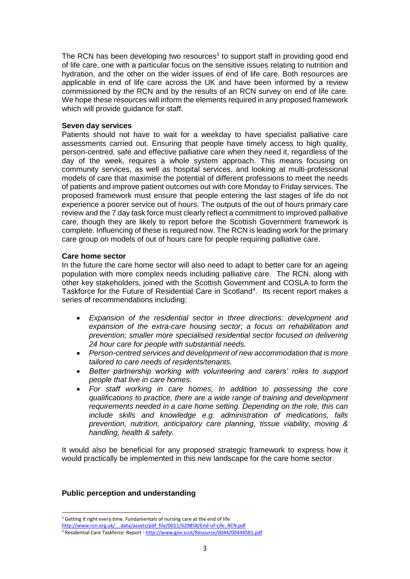The RCN has been developing two resources<sup>3</sup> to support staff in providing good end of life care, one with a particular focus on the sensitive issues relating to nutrition and hydration, and the other on the wider issues of end of life care. Both resources are applicable in end of life care across the UK and have been informed by a review commissioned by the RCN and by the results of an RCN survey on end of life care. We hope these resources will inform the elements required in any proposed framework which will provide guidance for staff.

### **Seven day services**

Patients should not have to wait for a weekday to have specialist palliative care assessments carried out. Ensuring that people have timely access to high quality, person-centred, safe and effective palliative care when they need it, regardless of the day of the week, requires a whole system approach. This means focusing on community services, as well as hospital services, and looking at multi-professional models of care that maximise the potential of different professions to meet the needs of patients and improve patient outcomes out with core Monday to Friday services. The proposed framework must ensure that people entering the last stages of life do not experience a poorer service out of hours. The outputs of the out of hours primary care review and the 7 day task force must clearly reflect a commitment to improved palliative care, though they are likely to report before the Scottish Government framework is complete. Influencing of these is required now. The RCN is leading work for the primary care group on models of out of hours care for people requiring palliative care.

#### **Care home sector**

In the future the care home sector will also need to adapt to better care for an ageing population with more complex needs including palliative care. The RCN, along with other key stakeholders, joined with the Scottish Government and COSLA to form the Taskforce for the Future of Residential Care in Scotland<sup>4</sup>. Its recent report makes a series of recommendations including:

- *Expansion of the residential sector in three directions: development and expansion of the extra-care housing sector; a focus on rehabilitation and prevention; smaller more specialised residential sector focused on delivering 24 hour care for people with substantial needs.*
- *Person-centred services and development of new accommodation that is more tailored to care needs of residents/tenants.*
- *Better partnership working with volunteering and carers' roles to support people that live in care homes.*
- *For staff working in care homes, In addition to possessing the core qualifications to practice, there are a wide range of training and development requirements needed in a care home setting. Depending on the role, this can include skills and knowledge e.g. administration of medications, falls prevention, nutrition, anticipatory care planning, tissue viability, moving & handling, health & safety.*

It would also be beneficial for any proposed strategic framework to express how it would practically be implemented in this new landscape for the care home sector.

# **Public perception and understanding**

 $\overline{a}$ 

<sup>&</sup>lt;sup>3</sup> Getting it right every time. Fundamentals of nursing care at the end of life

[http://www.rcn.org.uk/\\_\\_data/assets/pdf\\_file/0011/629858/End-of-Life\\_RCN.pdf](http://www.rcn.org.uk/__data/assets/pdf_file/0011/629858/End-of-Life_RCN.pdf)

<sup>4</sup> Residential Care Taskforce Report - <http://www.gov.scot/Resource/0044/00444581.pdf>